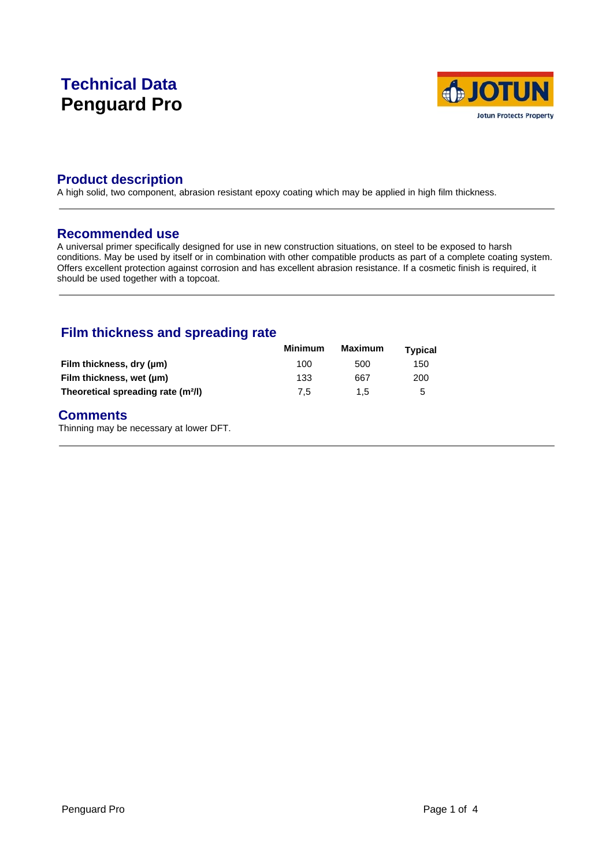# **Technical Data Penguard Pro**



# **Product description**

A high solid, two component, abrasion resistant epoxy coating which may be applied in high film thickness.

### **Recommended use**

A universal primer specifically designed for use in new construction situations, on steel to be exposed to harsh conditions. May be used by itself or in combination with other compatible products as part of a complete coating system. Offers excellent protection against corrosion and has excellent abrasion resistance. If a cosmetic finish is required, it should be used together with a topcoat.

# **Film thickness and spreading rate**

|                                                | <b>Minimum</b> | Maximum | <b>Typical</b> |  |
|------------------------------------------------|----------------|---------|----------------|--|
| Film thickness, dry (µm)                       | 100            | 500     | 150            |  |
| Film thickness, wet (µm)                       | 133            | 667     | 200            |  |
| Theoretical spreading rate (m <sup>2</sup> /l) | 7.5            | 1.5     | 5              |  |

### **Comments**

Thinning may be necessary at lower DFT.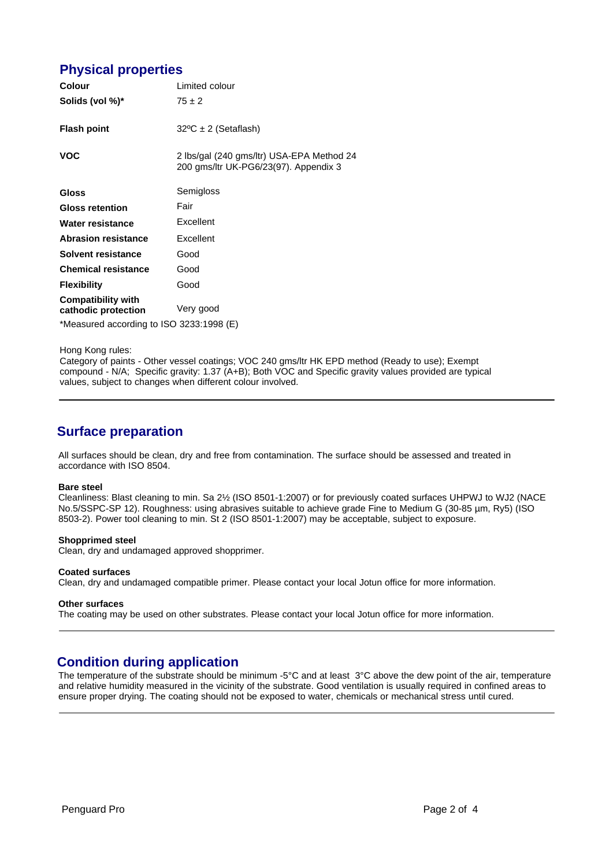# **Physical properties**

| <b>Colour</b>                                        | Limited colour                                                                     |  |
|------------------------------------------------------|------------------------------------------------------------------------------------|--|
| Solids (vol %)*                                      | $75 \pm 2$                                                                         |  |
| <b>Flash point</b>                                   | $32^{\circ}C \pm 2$ (Setaflash)                                                    |  |
| <b>VOC</b>                                           | 2 lbs/gal (240 gms/ltr) USA-EPA Method 24<br>200 gms/ltr UK-PG6/23(97). Appendix 3 |  |
| <b>Gloss</b>                                         | Semigloss                                                                          |  |
| <b>Gloss retention</b>                               | Fair                                                                               |  |
| Water resistance                                     | Excellent                                                                          |  |
| <b>Abrasion resistance</b>                           | Excellent                                                                          |  |
| Solvent resistance                                   | Good                                                                               |  |
| <b>Chemical resistance</b>                           | Good                                                                               |  |
| <b>Flexibility</b>                                   | Good                                                                               |  |
| <b>Compatibility with</b><br>cathodic protection     | Very good                                                                          |  |
| $*M_{222}$ $$ of a secondical to ICO 2000.4000 $(F)$ |                                                                                    |  |

\*Measured according to ISO 3233:1998 (E)

Hong Kong rules:

Category of paints - Other vessel coatings; VOC 240 gms/ltr HK EPD method (Ready to use); Exempt compound - N/A; Specific gravity: 1.37 (A+B); Both VOC and Specific gravity values provided are typical values, subject to changes when different colour involved.

### **Surface preparation**

All surfaces should be clean, dry and free from contamination. The surface should be assessed and treated in accordance with ISO 8504.

#### **Bare steel**

Cleanliness: Blast cleaning to min. Sa 2½ (ISO 8501-1:2007) or for previously coated surfaces UHPWJ to WJ2 (NACE No.5/SSPC-SP 12). Roughness: using abrasives suitable to achieve grade Fine to Medium G (30-85 µm, Ry5) (ISO 8503-2). Power tool cleaning to min. St 2 (ISO 8501-1:2007) may be acceptable, subject to exposure.

#### **Shopprimed steel**

Clean, dry and undamaged approved shopprimer.

#### **Coated surfaces**

Clean, dry and undamaged compatible primer. Please contact your local Jotun office for more information.

#### **Other surfaces**

The coating may be used on other substrates. Please contact your local Jotun office for more information.

### **Condition during application**

The temperature of the substrate should be minimum -5°C and at least 3°C above the dew point of the air, temperature and relative humidity measured in the vicinity of the substrate. Good ventilation is usually required in confined areas to ensure proper drying. The coating should not be exposed to water, chemicals or mechanical stress until cured.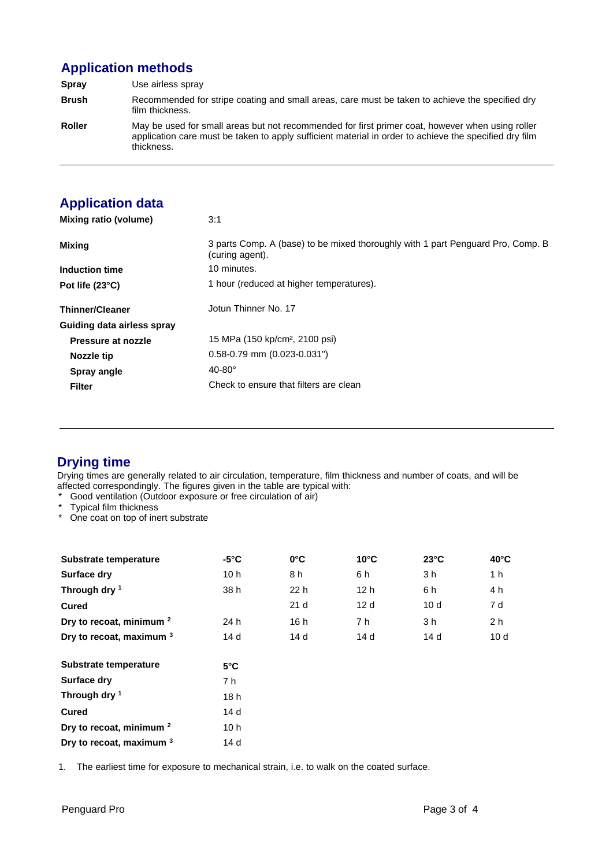# **Application methods**

**Spray** Use airless spray **Brush** Recommended for stripe coating and small areas, care must be taken to achieve the specified dry film thickness. **Roller** May be used for small areas but not recommended for first primer coat, however when using roller application care must be taken to apply sufficient material in order to achieve the specified dry film thickness.

# **Application data**

| Mixing ratio (volume)      | 3:1                                                                                                |
|----------------------------|----------------------------------------------------------------------------------------------------|
| Mixing                     | 3 parts Comp. A (base) to be mixed thoroughly with 1 part Penguard Pro, Comp. B<br>(curing agent). |
| Induction time             | 10 minutes.                                                                                        |
| Pot life $(23^{\circ}C)$   | 1 hour (reduced at higher temperatures).                                                           |
| <b>Thinner/Cleaner</b>     | Jotun Thinner No. 17                                                                               |
| Guiding data airless spray |                                                                                                    |
| Pressure at nozzle         | 15 MPa (150 kp/cm <sup>2</sup> , 2100 psi)                                                         |
| Nozzle tip                 | $0.58 - 0.79$ mm $(0.023 - 0.031)$                                                                 |
| Spray angle                | $40-80^\circ$                                                                                      |
| <b>Filter</b>              | Check to ensure that filters are clean                                                             |

# **Drying time**

Drying times are generally related to air circulation, temperature, film thickness and number of coats, and will be affected correspondingly. The figures given in the table are typical with:

- Good ventilation (Outdoor exposure or free circulation of air)
- \* Typical film thickness
- \* One coat on top of inert substrate

| Substrate temperature               | $-5^{\circ}$ C  | $0^{\circ}$ C   | $10^{\circ}$ C  | $23^{\circ}$ C  | $40^{\circ}$ C  |
|-------------------------------------|-----------------|-----------------|-----------------|-----------------|-----------------|
| Surface dry                         | 10h             | 8 h             | 6 h             | 3 h             | 1 h             |
| Through dry 1                       | 38 h            | 22 h            | 12 <sub>h</sub> | 6 h             | 4 h             |
| <b>Cured</b>                        |                 | 21 <sub>d</sub> | 12d             | 10d             | 7 d             |
| Dry to recoat, minimum <sup>2</sup> | 24 h            | 16 h            | 7 h             | 3 h             | 2 h             |
| Dry to recoat, maximum 3            | 14 d            | 14 <sub>d</sub> | 14d             | 14 <sub>d</sub> | 10 <sub>d</sub> |
| Substrate temperature               | $5^{\circ}$ C   |                 |                 |                 |                 |
| Surface dry                         | 7 h             |                 |                 |                 |                 |
| Through dry 1                       | 18h             |                 |                 |                 |                 |
| <b>Cured</b>                        | 14 d            |                 |                 |                 |                 |
| Dry to recoat, minimum <sup>2</sup> | 10 <sub>h</sub> |                 |                 |                 |                 |
| Dry to recoat, maximum 3            | 14 d            |                 |                 |                 |                 |

1. The earliest time for exposure to mechanical strain, i.e. to walk on the coated surface.